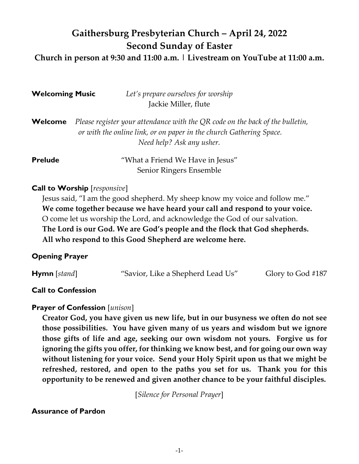# **Gaithersburg Presbyterian Church – April 24, 2022 Second Sunday of Easter**

**Church in person at 9:30 and 11:00 a.m. | Livestream on YouTube at 11:00 a.m.**

| <b>Welcoming Music</b> | Let's prepare ourselves for worship                                                                                                                                               |
|------------------------|-----------------------------------------------------------------------------------------------------------------------------------------------------------------------------------|
|                        | Jackie Miller, flute                                                                                                                                                              |
| Welcome                | Please register your attendance with the QR code on the back of the bulletin,<br>or with the online link, or on paper in the church Gathering Space.<br>Need help? Ask any usher. |
| <b>Prelude</b>         | "What a Friend We Have in Jesus"<br>Senior Ringers Ensemble                                                                                                                       |

## **Call to Worship** [*responsive*]

Jesus said, "I am the good shepherd. My sheep know my voice and follow me." **We come together because we have heard your call and respond to your voice.** O come let us worship the Lord, and acknowledge the God of our salvation. **The Lord is our God. We are God's people and the flock that God shepherds. All who respond to this Good Shepherd are welcome here.**

## **Opening Prayer**

| $Hymn$ [stand] | "Savior, Like a Shepherd Lead Us" | Glory to God #187 |
|----------------|-----------------------------------|-------------------|
|                |                                   |                   |

## **Call to Confession**

## **Prayer of Confession** [*unison*]

**Creator God, you have given us new life, but in our busyness we often do not see those possibilities. You have given many of us years and wisdom but we ignore those gifts of life and age, seeking our own wisdom not yours. Forgive us for ignoring the gifts you offer, for thinking we know best, and for going our own way without listening for your voice. Send your Holy Spirit upon us that we might be refreshed, restored, and open to the paths you set for us. Thank you for this opportunity to be renewed and given another chance to be your faithful disciples.** 

[*Silence for Personal Prayer*]

## **Assurance of Pardon**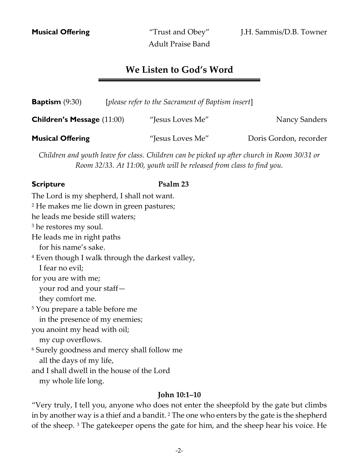Adult Praise Band

## **We Listen to God's Word**

| <b>Baptism</b> $(9:30)$           | [please refer to the Sacrament of Baptism insert] |                        |
|-----------------------------------|---------------------------------------------------|------------------------|
| <b>Children's Message (11:00)</b> | "Jesus Loves Me"                                  | <b>Nancy Sanders</b>   |
| <b>Musical Offering</b>           | "Jesus Loves Me"                                  | Doris Gordon, recorder |

*Children and youth leave for class. Children can be picked up after church in Room 30/31 or Room 32/33. At 11:00, youth will be released from class to find you.*

#### **Scripture Psalm 23**

The Lord is my shepherd, I shall not want. <sup>2</sup> He makes me lie down in green pastures; he leads me beside still waters; <sup>3</sup> he restores my soul. He leads me in right paths for his name's sake. <sup>4</sup> Even though I walk through the darkest valley, I fear no evil; for you are with me; your rod and your staff they comfort me. <sup>5</sup> You prepare a table before me in the presence of my enemies; you anoint my head with oil; my cup overflows. <sup>6</sup> Surely goodness and mercy shall follow me all the days of my life, and I shall dwell in the house of the Lord my whole life long.

#### **John 10:1–10**

"Very truly, I tell you, anyone who does not enter the sheepfold by the gate but climbs in by another way is a thief and a bandit.<sup>2</sup> The one who enters by the gate is the shepherd of the sheep. <sup>3</sup> The gatekeeper opens the gate for him, and the sheep hear his voice. He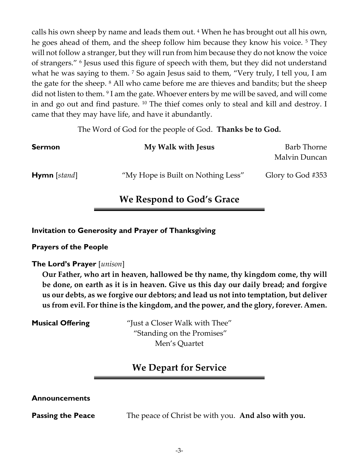calls his own sheep by name and leads them out. <sup>4</sup> When he has brought out all his own, he goes ahead of them, and the sheep follow him because they know his voice. <sup>5</sup> They will not follow a stranger, but they will run from him because they do not know the voice of strangers." <sup>6</sup> Jesus used this figure of speech with them, but they did not understand what he was saying to them. <sup>7</sup> So again Jesus said to them, "Very truly, I tell you, I am the gate for the sheep. <sup>8</sup> All who came before me are thieves and bandits; but the sheep did not listen to them. <sup>9</sup> I am the gate. Whoever enters by me will be saved, and will come in and go out and find pasture. <sup>10</sup> The thief comes only to steal and kill and destroy. I came that they may have life, and have it abundantly.

The Word of God for the people of God. **Thanks be to God.**

| <b>Sermon</b>       | My Walk with Jesus                 | Barb Thorne<br>Malvin Duncan |
|---------------------|------------------------------------|------------------------------|
| <b>Hymn</b> [stand] | "My Hope is Built on Nothing Less" | Glory to God #353            |

## **We Respond to God's Grace**

#### **Invitation to Generosity and Prayer of Thanksgiving**

#### **Prayers of the People**

#### **The Lord's Prayer** [*unison*]

**Our Father, who art in heaven, hallowed be thy name, thy kingdom come, thy will be done, on earth as it is in heaven. Give us this day our daily bread; and forgive us our debts, as we forgive our debtors; and lead us not into temptation, but deliver us from evil. For thine is the kingdom, and the power, and the glory, forever. Amen.**

**Musical Offering** "Just a Closer Walk with Thee" "Standing on the Promises" Men's Quartet

## **We Depart for Service**

#### **Announcements**

**Passing the Peace** The peace of Christ be with you. And also with you.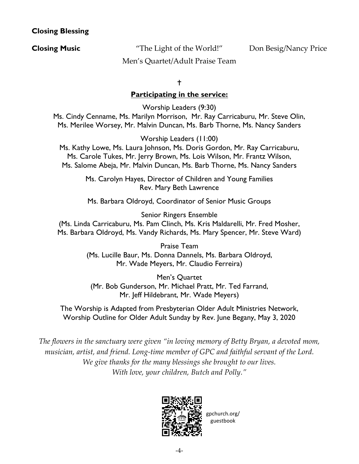### **Closing Blessing**

**Closing Music** The Light of the World!" Don Besig/Nancy Price

Men's Quartet/Adult Praise Team

#### ŧ

### **Participating in the service:**

Worship Leaders (9:30) Ms. Cindy Cenname, Ms. Marilyn Morrison, Mr. Ray Carricaburu, Mr. Steve Olin, Ms. Merilee Worsey, Mr. Malvin Duncan, Ms. Barb Thorne, Ms. Nancy Sanders

Worship Leaders (11:00)

Ms. Kathy Lowe, Ms. Laura Johnson, Ms. Doris Gordon, Mr. Ray Carricaburu, Ms. Carole Tukes, Mr. Jerry Brown, Ms. Lois Wilson, Mr. Frantz Wilson, Ms. Salome Abeja, Mr. Malvin Duncan, Ms. Barb Thorne, Ms. Nancy Sanders

> Ms. Carolyn Hayes, Director of Children and Young Families Rev. Mary Beth Lawrence

> Ms. Barbara Oldroyd, Coordinator of Senior Music Groups

Senior Ringers Ensemble (Ms. Linda Carricaburu, Ms. Pam Clinch, Ms. Kris Maldarelli, Mr. Fred Mosher, Ms. Barbara Oldroyd, Ms. Vandy Richards, Ms. Mary Spencer, Mr. Steve Ward)

> Praise Team (Ms. Lucille Baur, Ms. Donna Dannels, Ms. Barbara Oldroyd, Mr. Wade Meyers, Mr. Claudio Ferreira)

Men's Quartet (Mr. Bob Gunderson, Mr. Michael Pratt, Mr. Ted Farrand, Mr. Jeff Hildebrant, Mr. Wade Meyers)

The Worship is Adapted from Presbyterian Older Adult Ministries Network, Worship Outline for Older Adult Sunday by Rev. June Begany, May 3, 2020

*The flowers in the sanctuary were given "in loving memory of Betty Bryan, a devoted mom, musician, artist, and friend. Long-time member of GPC and faithful servant of the Lord. We give thanks for the many blessings she brought to our lives. With love, your children, Butch and Polly."*



gpchurch.org/ guestbook